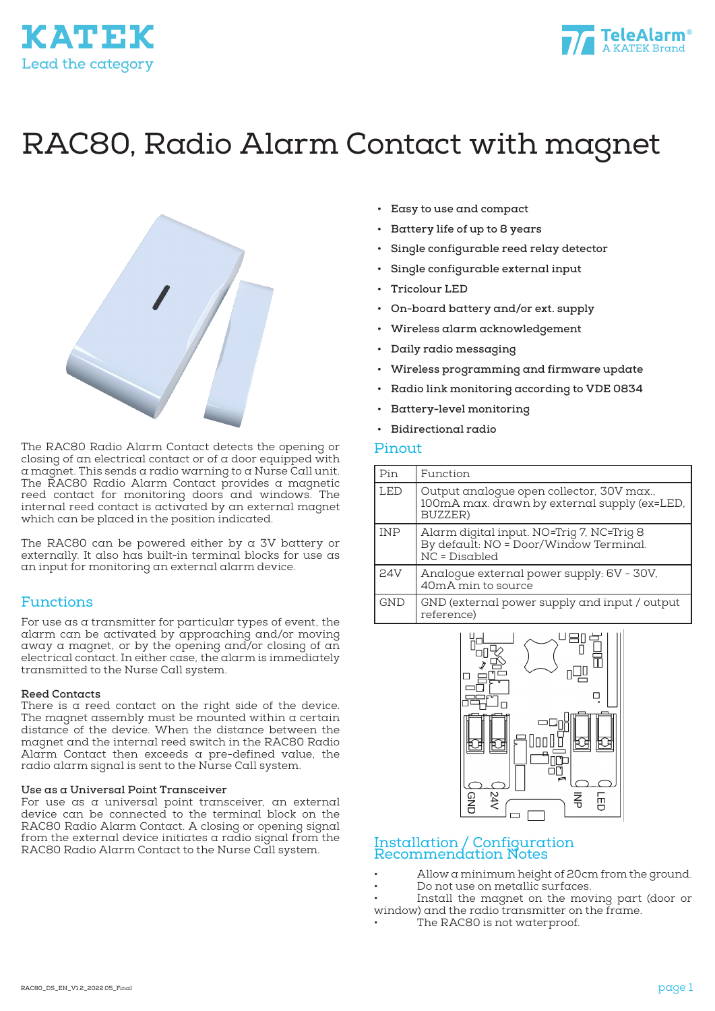



# RAC80, Radio Alarm Contact with magnet



The RAC80 Radio Alarm Contact detects the opening or closing of an electrical contact or of a door equipped with a magnet. This sends a radio warning to a Nurse Call unit. The RAC80 Radio Alarm Contact provides a magnetic reed contact for monitoring doors and windows. The internal reed contact is activated by an external magnet which can be placed in the position indicated.

The RAC80 can be powered either by a 3V battery or externally. It also has built-in terminal blocks for use as an input for monitoring an external alarm device.

### Functions

For use as a transmitter for particular types of event, the alarm can be activated by approaching and/or moving away a magnet, or by the opening and/or closing of an electrical contact. In either case, the alarm is immediately transmitted to the Nurse Call system.

### **Reed Contacts**

There is a reed contact on the right side of the device. The magnet assembly must be mounted within a certain distance of the device. When the distance between the magnet and the internal reed switch in the RAC80 Radio Alarm Contact then exceeds a pre-defined value, the radio alarm signal is sent to the Nurse Call system.

### **Use as a Universal Point Transceiver**

For use as a universal point transceiver, an external device can be connected to the terminal block on the RAC80 Radio Alarm Contact. A closing or opening signal from the external device initiates a radio signal from the RAC80 Radio Alarm Contact to the Nurse Call system.

- **• Easy to use and compact**
- **• Battery life of up to 8 years**
- **• Single configurable reed relay detector**
- **• Single configurable external input**
- **• Tricolour LED**
- **• On-board battery and/or ext. supply**
- **• Wireless alarm acknowledgement**
- **• Daily radio messaging**
- **• Wireless programming and firmware update**
- **• Radio link monitoring according to VDE 0834**
- **• Battery-level monitoring**
- **• Bidirectional radio**

### Pinout

| Pin        | Function                                                                                               |
|------------|--------------------------------------------------------------------------------------------------------|
| <b>LED</b> | Output analogue open collector, 30V max.,<br>100mA max. drawn by external supply (ex=LED,<br>BUZZER)   |
| <b>INP</b> | Alarm digital input. NO=Trig 7, NC=Trig 8<br>By default: NO = Door/Window Terminal.<br>$NC = Disabled$ |
| 24V        | Analogue external power supply: 6V - 30V,<br>40mA min to source                                        |
| <b>GND</b> | GND (external power supply and input / output<br>reference)                                            |



### Installation / Configuration Recommendation Notes

- Allow a minimum height of 20cm from the ground.
- Do not use on metallic surfaces.
- Install the magnet on the moving part (door or window) and the radio transmitter on the frame.
- The RAC80 is not waterproof.